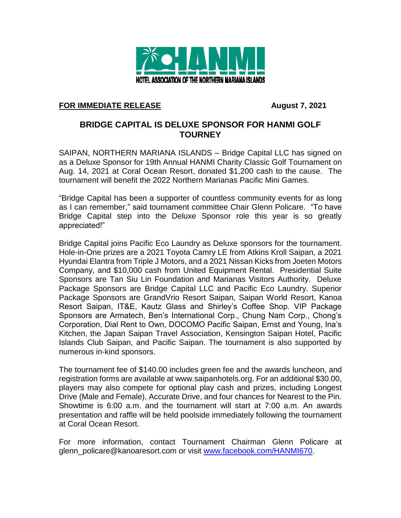

## **FOR IMMEDIATE RELEASE August 7, 2021**

## **BRIDGE CAPITAL IS DELUXE SPONSOR FOR HANMI GOLF TOURNEY**

SAIPAN, NORTHERN MARIANA ISLANDS – Bridge Capital LLC has signed on as a Deluxe Sponsor for 19th Annual HANMI Charity Classic Golf Tournament on Aug. 14, 2021 at Coral Ocean Resort, donated \$1,200 cash to the cause. The tournament will benefit the 2022 Northern Marianas Pacific Mini Games.

"Bridge Capital has been a supporter of countless community events for as long as I can remember," said tournament committee Chair Glenn Policare. "To have Bridge Capital step into the Deluxe Sponsor role this year is so greatly appreciated!"

Bridge Capital joins Pacific Eco Laundry as Deluxe sponsors for the tournament. Hole-in-One prizes are a 2021 Toyota Camry LE from Atkins Kroll Saipan, a 2021 Hyundai Elantra from Triple J Motors, and a 2021 Nissan Kicks from Joeten Motors Company, and \$10,000 cash from United Equipment Rental. Presidential Suite Sponsors are Tan Siu Lin Foundation and Marianas Visitors Authority. Deluxe Package Sponsors are Bridge Capital LLC and Pacific Eco Laundry. Superior Package Sponsors are GrandVrio Resort Saipan, Saipan World Resort, Kanoa Resort Saipan, IT&E, Kautz Glass and Shirley's Coffee Shop. VIP Package Sponsors are Armatech, Ben's International Corp., Chung Nam Corp., Chong's Corporation, Dial Rent to Own, DOCOMO Pacific Saipan, Ernst and Young, Ina's Kitchen, the Japan Saipan Travel Association, Kensington Saipan Hotel, Pacific Islands Club Saipan, and Pacific Saipan. The tournament is also supported by numerous in-kind sponsors.

The tournament fee of \$140.00 includes green fee and the awards luncheon, and registration forms are available at www.saipanhotels.org. For an additional \$30.00, players may also compete for optional play cash and prizes, including Longest Drive (Male and Female), Accurate Drive, and four chances for Nearest to the Pin. Showtime is 6:00 a.m. and the tournament will start at 7:00 a.m. An awards presentation and raffle will be held poolside immediately following the tournament at Coral Ocean Resort.

For more information, contact Tournament Chairman Glenn Policare at glenn\_policare@kanoaresort.com or visit [www.facebook.com/HANMI670.](http://www.facebook.com/HANMI670)